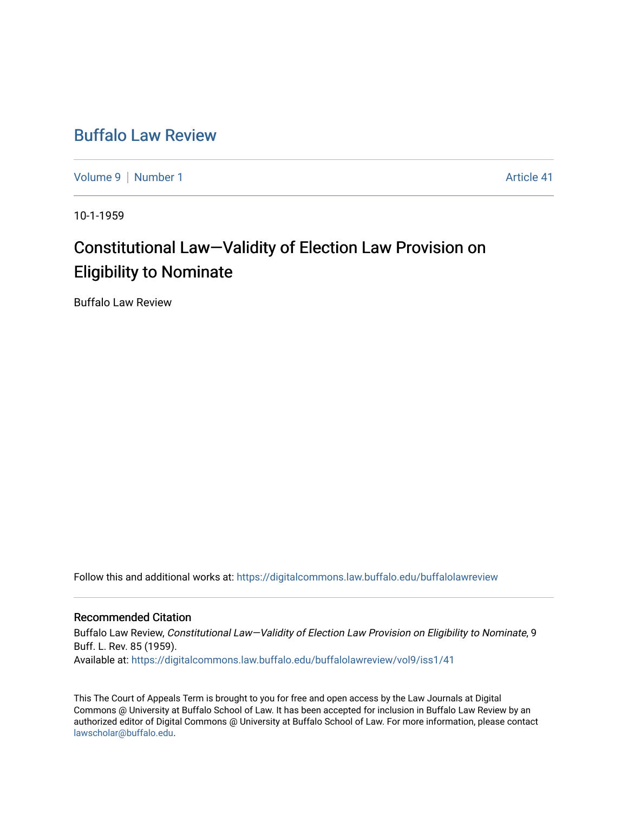# [Buffalo Law Review](https://digitalcommons.law.buffalo.edu/buffalolawreview)

[Volume 9](https://digitalcommons.law.buffalo.edu/buffalolawreview/vol9) | [Number 1](https://digitalcommons.law.buffalo.edu/buffalolawreview/vol9/iss1) Article 41

10-1-1959

# Constitutional Law—Validity of Election Law Provision on Eligibility to Nominate

Buffalo Law Review

Follow this and additional works at: [https://digitalcommons.law.buffalo.edu/buffalolawreview](https://digitalcommons.law.buffalo.edu/buffalolawreview?utm_source=digitalcommons.law.buffalo.edu%2Fbuffalolawreview%2Fvol9%2Fiss1%2F41&utm_medium=PDF&utm_campaign=PDFCoverPages) 

## Recommended Citation

Buffalo Law Review, Constitutional Law—Validity of Election Law Provision on Eligibility to Nominate, 9 Buff. L. Rev. 85 (1959). Available at: [https://digitalcommons.law.buffalo.edu/buffalolawreview/vol9/iss1/41](https://digitalcommons.law.buffalo.edu/buffalolawreview/vol9/iss1/41?utm_source=digitalcommons.law.buffalo.edu%2Fbuffalolawreview%2Fvol9%2Fiss1%2F41&utm_medium=PDF&utm_campaign=PDFCoverPages) 

This The Court of Appeals Term is brought to you for free and open access by the Law Journals at Digital Commons @ University at Buffalo School of Law. It has been accepted for inclusion in Buffalo Law Review by an authorized editor of Digital Commons @ University at Buffalo School of Law. For more information, please contact [lawscholar@buffalo.edu](mailto:lawscholar@buffalo.edu).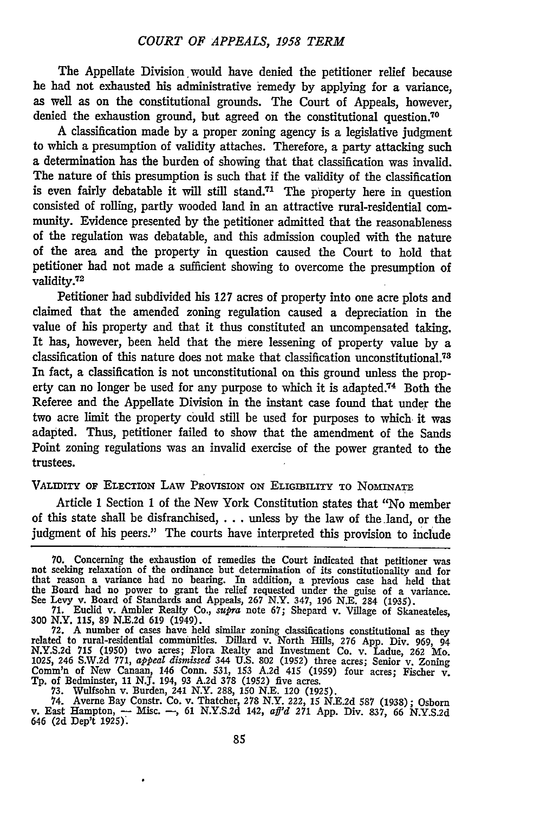The Appellate Division would have denied the petitioner relief because he had not exhausted his administrative remedy by applying for a variance, as well as on the constitutional grounds. The Court of Appeals, however, denied the exhaustion ground, but agreed on the constitutional question.<sup>70</sup>

A classification made by a proper zoning agency is a legislative judgment to which a presumption of validity attaches. Therefore, a party attacking such a determination has the burden of showing that that classification was invalid. The nature of this presumption is such that if the validity of the classification is even fairly debatable it will still stand.<sup>71</sup> The property here in question consisted of rolling, partly wooded land in an attractive rural-residential community. Evidence presented by the petitioner admitted that the reasonableness of the regulation was debatable, and this admission coupled with the nature of the area and the property in question caused the Court to hold that petitioner had not made a sufficient showing to overcome the presumption of validity.72

Petitioner had subdivided his 127 acres of property into one acre plots and claimed that the amended zoning regulation caused a depreciation in the value of his property and that it thus constituted an uncompensated taking. It has, however, been held that the mere lessening of property value by a classification of this nature does not make that classification unconstitutional.<sup>78</sup> In fact, a classification is not unconstitutional on this ground unless the property can no longer be used for any purpose to which it is adapted.<sup>74</sup> Both the Referee and the Appellate Division in the instant case found that under the two acre limit the property could still be used for purposes to which it was adapted. Thus, petitioner failed to show that the amendment of the Sands Point zoning regulations was an invalid exercise of the power granted to the trustees.

### VALIDITY OF ELECTION LAW PRovIsION ON ELIGIBILITY **TO NOMINATE**

Article 1 Section 1 of the New York Constitution states that "No member of this state shall be disfranchised,  $\dots$  unless by the law of the land, or the judgment of his peers." The courts have interpreted this provision to include

73. Wulfsohn v. Burden, 241 N.Y. 288, 150 N.E. 120 (1925).<br>74. Averne Bay Constr. Co. v. Thatcher, 278 N.Y. 222, 15 N.E.2d 587 (1938); Osborn<br>74. Averne Bay Constr. Co. v. Thatcher, 278 N.Y. 222, 15 N.E.2d 587 (1938); Osbo 646 **(2d** Dep't **1925).**

**<sup>70.</sup>** Concerning the exhaustion of remedies the Court indicated that petitioner was not seeking relaxation of the ordinance but determination of its constitutionality and for that reason a variance had no bearing. In addition, a previous case had held that the Board had no power to grant the relief requested under the guise of a variance. See Levy v. Board of Standards and Appeals, **267** N.Y. 347, 196 N.E. 284 (1935). 71. Euclid v. Ambler Realty Co., *supra* note **67;** Shepard v. Village of Skaneateles,

<sup>300</sup> N.Y. 115, 89 N.E.2d 619 (1949).

**<sup>72.</sup>** A number of cases have held similar zoning classifications constitutional as they related to rural-residential communities. Dillard v. North Hills, 276 App. Div. 969, 94 N.Y.S.2d 715 (1950) two acres; Flora Realty and Investment Co. v. Ladue, **262** Mo. 1025, 246 S.W.2d 771, *appeal dismissed* 344 U.S. 802 (1952) three acres; Senior v. Zoning Comm'n of New Canaan, 146 Conn. 531, 153 A.2d 415 (1959) four acres; Fischer v. **Tp.** of Bedminster, 11 NJ. 194, 93 A.2d 378 (1952) five acres.